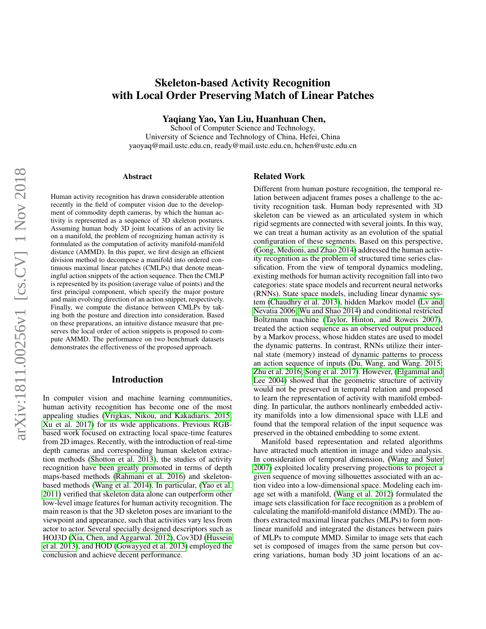# Skeleton-based Activity Recognition with Local Order Preserving Match of Linear Patches

Yaqiang Yao, Yan Liu, Huanhuan Chen,

School of Computer Science and Technology, University of Science and Technology of China, Hefei, China yaoyaq@mail.ustc.edu.cn, ready@mail.ustc.edu.cn, hchen@ustc.edu.cn

#### Abstract

Human activity recognition has drawn considerable attention recently in the field of computer vision due to the development of commodity depth cameras, by which the human activity is represented as a sequence of 3D skeleton postures. Assuming human body 3D joint locations of an activity lie on a manifold, the problem of recognizing human activity is formulated as the computation of activity manifold-manifold distance (AMMD). In this paper, we first design an efficient division method to decompose a manifold into ordered continuous maximal linear patches (CMLPs) that denote meaningful action snippets of the action sequence. Then the CMLP is represented by its position (average value of points) and the first principal component, which specify the major posture and main evolving direction of an action snippet, respectively. Finally, we compute the distance between CMLPs by taking both the posture and direction into consideration. Based on these preparations, an intuitive distance measure that preserves the local order of action snippets is proposed to compute AMMD. The performance on two benchmark datasets demonstrates the effectiveness of the proposed approach.

# Introduction

In computer vision and machine learning communities, human activity recognition has become one of the most appealing studies [\(Vrigkas, Nikou, and Kakadiaris. 2015;](#page-7-0) [Xu et al. 2017\)](#page-7-1) for its wide applications. Previous RGBbased work focused on extracting local space-time features from 2D images. Recently, with the introduction of real-time depth cameras and corresponding human skeleton extraction methods [\(Shotton et al. 2013\)](#page-7-2), the studies of activity recognition have been greatly promoted in terms of depth maps-based methods [\(Rahmani et al. 2016\)](#page-7-3) and skeletonbased methods [\(Wang et al. 2014\)](#page-7-4). In particular, [\(Yao et al.](#page-7-5) [2011\)](#page-7-5) verified that skeleton data alone can outperform other low-level image features for human activity recognition. The main reason is that the 3D skeleton poses are invariant to the viewpoint and appearance, such that activities vary less from actor to actor. Several specially designed descriptors such as HOJ3D [\(Xia, Chen, and Aggarwal. 2012\)](#page-7-6), Cov3DJ [\(Hussein](#page-7-7) [et al. 2013\)](#page-7-7), and HOD [\(Gowayyed et al. 2013\)](#page-7-8) employed the conclusion and achieve decent performance.

### Related Work

Different from human posture recognition, the temporal relation between adjacent frames poses a challenge to the activity recognition task. Human body represented with 3D skeleton can be viewed as an articulated system in which rigid segments are connected with several joints. In this way, we can treat a human activity as an evolution of the spatial configuration of these segments. Based on this perspective, [\(Gong, Medioni, and Zhao 2014\)](#page-7-9) addressed the human activity recognition as the problem of structured time series classification. From the view of temporal dynamics modeling, existing methods for human activity recognition fall into two categories: state space models and recurrent neural networks (RNNs). State space models, including linear dynamic system [\(Chaudhry et al. 2013\)](#page-6-0), hidden Markov model [\(Lv and](#page-7-10) [Nevatia 2006;](#page-7-10) [Wu and Shao 2014\)](#page-7-11) and conditional restricted Boltzmann machine [\(Taylor, Hinton, and Roweis 2007\)](#page-7-12), treated the action sequence as an observed output produced by a Markov process, whose hidden states are used to model the dynamic patterns. In contrast, RNNs utilize their internal state (memory) instead of dynamic patterns to process an action sequence of inputs [\(Du, Wang, and Wang. 2015;](#page-7-13) [Zhu et al. 2016;](#page-7-14) [Song et al. 2017\)](#page-7-15). However, [\(Elgammal and](#page-7-16) [Lee 2004\)](#page-7-16) showed that the geometric structure of activity would not be preserved in temporal relation and proposed to learn the representation of activity with manifold embedding. In particular, the authors nonlinearly embedded activity manifolds into a low dimensional space with LLE and found that the temporal relation of the input sequence was preserved in the obtained embedding to some extent.

Manifold based representation and related algorithms have attracted much attention in image and video analysis. In consideration of temporal dimension, [\(Wang and Suter](#page-7-17) [2007\)](#page-7-17) exploited locality preserving projections to project a given sequence of moving silhouettes associated with an action video into a low-dimensional space. Modeling each image set with a manifold, [\(Wang et al. 2012\)](#page-7-18) formulated the image sets classification for face recognition as a problem of calculating the manifold-manifold distance (MMD). The authors extracted maximal linear patches (MLPs) to form nonlinear manifold and integrated the distances between pairs of MLPs to compute MMD. Similar to image sets that each set is composed of images from the same person but covering variations, human body 3D joint locations of an ac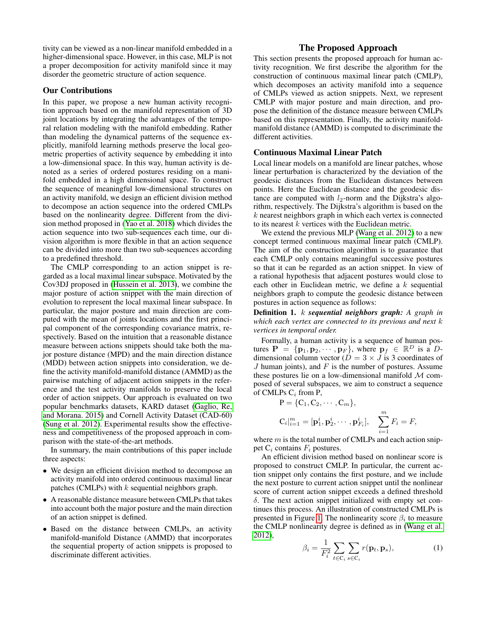tivity can be viewed as a non-linear manifold embedded in a higher-dimensional space. However, in this case, MLP is not a proper decomposition for activity manifold since it may disorder the geometric structure of action sequence.

## Our Contributions

In this paper, we propose a new human activity recognition approach based on the manifold representation of 3D joint locations by integrating the advantages of the temporal relation modeling with the manifold embedding. Rather than modeling the dynamical patterns of the sequence explicitly, manifold learning methods preserve the local geometric properties of activity sequence by embedding it into a low-dimensional space. In this way, human activity is denoted as a series of ordered postures residing on a manifold embedded in a high dimensional space. To construct the sequence of meaningful low-dimensional structures on an activity manifold, we design an efficient division method to decompose an action sequence into the ordered CMLPs based on the nonlinearity degree. Different from the division method proposed in [\(Yao et al. 2018\)](#page-7-19) which divides the action sequence into two sub-sequences each time, our division algorithm is more flexible in that an action sequence can be divided into more than two sub-sequences according to a predefined threshold.

The CMLP corresponding to an action snippet is regarded as a local maximal linear subspace. Motivated by the Cov3DJ proposed in [\(Hussein et al. 2013\)](#page-7-7), we combine the major posture of action snippet with the main direction of evolution to represent the local maximal linear subspace. In particular, the major posture and main direction are computed with the mean of joints locations and the first principal component of the corresponding covariance matrix, respectively. Based on the intuition that a reasonable distance measure between actions snippets should take both the major posture distance (MPD) and the main direction distance (MDD) between action snippets into consideration, we define the activity manifold-manifold distance (AMMD) as the pairwise matching of adjacent action snippets in the reference and the test activity manifolds to preserve the local order of action snippets. Our approach is evaluated on two popular benchmarks datasets, KARD dataset [\(Gaglio, Re,](#page-7-20) [and Morana. 2015\)](#page-7-20) and Cornell Activity Dataset (CAD-60) [\(Sung et al. 2012\)](#page-7-21). Experimental results show the effectiveness and competitiveness of the proposed approach in comparison with the state-of-the-art methods.

In summary, the main contributions of this paper include three aspects:

- We design an efficient division method to decompose an activity manifold into ordered continuous maximal linear patches (CMLPs) with  $k$  sequential neighbors graph.
- A reasonable distance measure between CMLPs that takes into account both the major posture and the main direction of an action snippet is defined.
- Based on the distance between CMLPs, an activity manifold-manifold Distance (AMMD) that incorporates the sequential property of action snippets is proposed to discriminate different activities.

# The Proposed Approach

This section presents the proposed approach for human activity recognition. We first describe the algorithm for the construction of continuous maximal linear patch (CMLP), which decomposes an activity manifold into a sequence of CMLPs viewed as action snippets. Next, we represent CMLP with major posture and main direction, and propose the definition of the distance measure between CMLPs based on this representation. Finally, the activity manifoldmanifold distance (AMMD) is computed to discriminate the different activities.

### Continuous Maximal Linear Patch

Local linear models on a manifold are linear patches, whose linear perturbation is characterized by the deviation of the geodesic distances from the Euclidean distances between points. Here the Euclidean distance and the geodesic distance are computed with  $l_2$ -norm and the Dijkstra's algorithm, respectively. The Dijkstra's algorithm is based on the  $k$  nearest neighbors graph in which each vertex is connected to its nearest k vertices with the Euclidean metric.

We extend the previous MLP [\(Wang et al. 2012\)](#page-7-18) to a new concept termed continuous maximal linear patch (CMLP). The aim of the construction algorithm is to guarantee that each CMLP only contains meaningful successive postures so that it can be regarded as an action snippet. In view of a rational hypothesis that adjacent postures would close to each other in Euclidean metric, we define a  $k$  sequential neighbors graph to compute the geodesic distance between postures in action sequence as follows:

Definition 1. k *sequential neighbors graph: A graph in which each vertex are connected to its previous and next* k *vertices in temporal order.*

Formally, a human activity is a sequence of human postures  $\mathbf{P} = \{ \mathbf{p}_1, \mathbf{p}_2, \cdots, \mathbf{p}_F \}$ , where  $\mathbf{p}_f \in \mathbb{R}^D$  is a Ddimensional column vector ( $D = 3 \times J$  is 3 coordinates of J human joints), and  $F$  is the number of postures. Assume these postures lie on a low-dimensional manifold  $M$  composed of several subspaces, we aim to construct a sequence of CMLPs  $C_i$  from P,

$$
P = \{C_1, C_2, \cdots, C_m\},
$$
  
\n
$$
C_i|_{i=1}^m = [\mathbf{p}_1^i, \mathbf{p}_2^i, \cdots, \mathbf{p}_{F_i}^i], \quad \sum_{i=1}^m F_i = F,
$$

where  $m$  is the total number of CMLPs and each action snippet  $C_i$  contains  $F_i$  postures.

An efficient division method based on nonlinear score is proposed to construct CMLP. In particular, the current action snippet only contains the first posture, and we include the next posture to current action snippet until the nonlinear score of current action snippet exceeds a defined threshold δ. The next action snippet initialized with empty set continues this process. An illustration of constructed CMLPs is presented in Figure [1.](#page-2-0) The nonlinearity score  $\beta_i$  to measure the CMLP nonlinearity degree is defined as in [\(Wang et al.](#page-7-18) [2012\)](#page-7-18),

<span id="page-1-0"></span>
$$
\beta_i = \frac{1}{F_i^2} \sum_{t \in \mathcal{C}_i} \sum_{s \in \mathcal{C}_i} r(\mathbf{p}_t, \mathbf{p}_s),\tag{1}
$$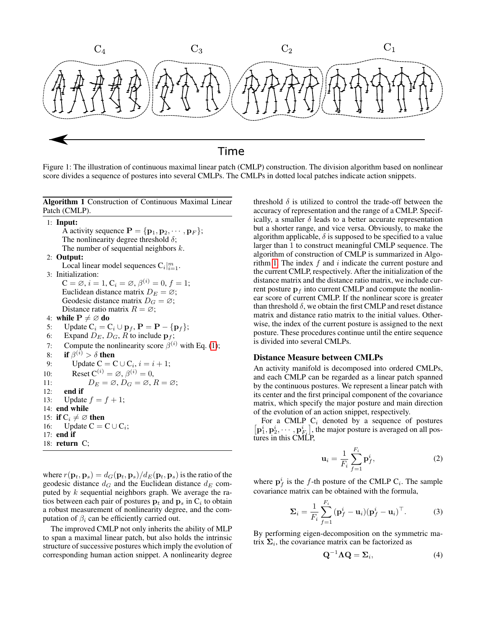<span id="page-2-0"></span>

Figure 1: The illustration of continuous maximal linear patch (CMLP) construction. The division algorithm based on nonlinear score divides a sequence of postures into several CMLPs. The CMLPs in dotted local patches indicate action snippets.

<span id="page-2-1"></span>Algorithm 1 Construction of Continuous Maximal Linear Patch (CMLP).

|     | $1:$ Input:                                                                            |
|-----|----------------------------------------------------------------------------------------|
|     | A activity sequence $\mathbf{P} = {\mathbf{p}_1, \mathbf{p}_2, \cdots, \mathbf{p}_F};$ |
|     | The nonlinearity degree threshold $\delta$ ;                                           |
|     | The number of sequential neighbors $k$ .                                               |
|     | $2:$ Output:                                                                           |
|     | Local linear model sequences $C_i _{i=1}^m$ .                                          |
|     | 3: Initialization:                                                                     |
|     | $C = \emptyset$ , $i = 1$ , $C_i = \emptyset$ , $\beta^{(i)} = 0$ , $f = 1$ ;          |
|     | Euclidean distance matrix $D_E = \emptyset$ ;                                          |
|     | Geodesic distance matrix $D_G = \varnothing$ ;                                         |
|     | Distance ratio matrix $R = \emptyset$ ;                                                |
|     | 4: while $P \neq \emptyset$ do                                                         |
| 5:  | Update $C_i = C_i \cup \mathbf{p}_f$ , $\mathbf{P} = \mathbf{P} - {\mathbf{p}_f};$     |
|     | 6: Expand $D_E$ , $D_G$ , R to include $\mathbf{p}_f$ ;                                |
|     | 7: Compute the nonlinearity score $\beta^{(i)}$ with Eq. (1);                          |
| 8:  | if $\beta^{(i)} > \delta$ then                                                         |
|     | Update $C = C \cup C_i$ , $i = i + 1$ ;<br>9:                                          |
| 10: | Reset $C^{(i)} = \emptyset$ , $\beta^{(i)} = 0$ ,                                      |
| 11: | $D_E = \emptyset$ , $D_G = \emptyset$ , $R = \emptyset$ ;                              |
|     | $12:$ end if                                                                           |
| 13: | Update $f = f + 1$ ;                                                                   |
|     | 14: end while                                                                          |
|     | 15: if $C_i \neq \emptyset$ then                                                       |
|     | 16: Update $C = C \cup C_i$ ;                                                          |
|     | $17:$ end if                                                                           |
|     | 18: $return C;$                                                                        |

where  $r(\mathbf{p}_t, \mathbf{p}_s) = d_G(\mathbf{p}_t, \mathbf{p}_s)/d_E(\mathbf{p}_t, \mathbf{p}_s)$  is the ratio of the geodesic distance  $d_G$  and the Euclidean distance  $d_E$  computed by  $k$  sequential neighbors graph. We average the ratios between each pair of postures  $\mathbf{p}_t$  and  $\mathbf{p}_s$  in  $C_i$  to obtain a robust measurement of nonlinearity degree, and the computation of  $\beta_i$  can be efficiently carried out.

The improved CMLP not only inherits the ability of MLP to span a maximal linear patch, but also holds the intrinsic structure of successive postures which imply the evolution of corresponding human action snippet. A nonlinearity degree

threshold  $\delta$  is utilized to control the trade-off between the accuracy of representation and the range of a CMLP. Specifically, a smaller  $\delta$  leads to a better accurate representation but a shorter range, and vice versa. Obviously, to make the algorithm applicable,  $\delta$  is supposed to be specified to a value larger than 1 to construct meaningful CMLP sequence. The algorithm of construction of CMLP is summarized in Algo-rithm [1.](#page-2-1) The index  $f$  and  $i$  indicate the current posture and the current CMLP, respectively. After the initialization of the distance matrix and the distance ratio matrix, we include current posture  $p_f$  into current CMLP and compute the nonlinear score of current CMLP. If the nonlinear score is greater than threshold  $\delta$ , we obtain the first CMLP and reset distance matrix and distance ratio matrix to the initial values. Otherwise, the index of the current posture is assigned to the next posture. These procedures continue until the entire sequence is divided into several CMLPs.

# Distance Measure between CMLPs

An activity manifold is decomposed into ordered CMLPs, and each CMLP can be regarded as a linear patch spanned by the continuous postures. We represent a linear patch with its center and the first principal component of the covariance matrix, which specify the major posture and main direction of the evolution of an action snippet, respectively.

For a CMLP  $C_i$  denoted by a sequence of postures  $\left[\mathbf{p}_1^i, \mathbf{p}_2^i, \cdots, \mathbf{p}_{F_i}^i\right]$ , the major posture is averaged on all postures in this CMLP,

$$
\mathbf{u}_i = \frac{1}{F_i} \sum_{f=1}^{F_i} \mathbf{p}_f^i,\tag{2}
$$

where  $\mathbf{p}_f^i$  is the f-th posture of the CMLP  $C_i$ . The sample covariance matrix can be obtained with the formula,

$$
\Sigma_i = \frac{1}{F_i} \sum_{f=1}^{F_i} (\mathbf{p}_f^i - \mathbf{u}_i)(\mathbf{p}_f^i - \mathbf{u}_i)^\top.
$$
 (3)

By performing eigen-decomposition on the symmetric matrix  $\Sigma_i$ , the covariance matrix can be factorized as

$$
\mathbf{Q}^{-1}\mathbf{\Lambda}\mathbf{Q} = \mathbf{\Sigma}_i,\tag{4}
$$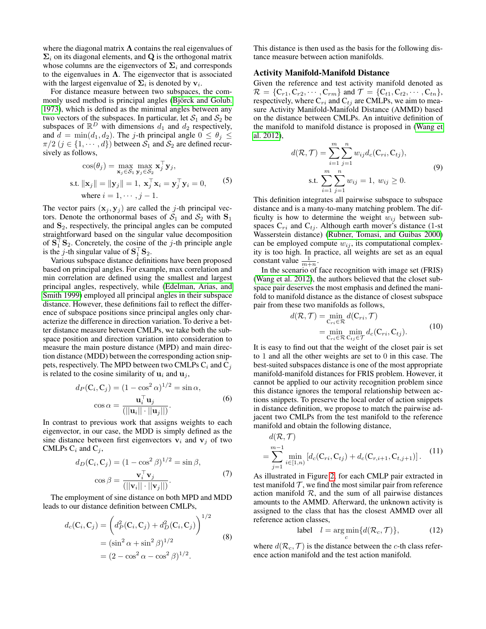where the diagonal matrix  $\Lambda$  contains the real eigenvalues of  $\Sigma_i$  on its diagonal elements, and Q is the orthogonal matrix whose columns are the eigenvectors of  $\Sigma_i$  and corresponds to the eigenvalues in  $\Lambda$ . The eigenvector that is associated with the largest eigenvalue of  $\Sigma_i$  is denoted by  $v_i$ .

For distance measure between two subspaces, the commonly used method is principal angles (Björck and Golub. [1973\)](#page-6-1), which is defined as the minimal angles between any two vectors of the subspaces. In particular, let  $S_1$  and  $S_2$  be subspaces of  $\mathbb{R}^D$  with dimensions  $d_1$  and  $d_2$  respectively, and  $d = \min(d_1, d_2)$ . The j-th principal angle  $0 \le \theta_j \le$  $\pi/2$   $(j \in \{1, \dots, d\})$  between  $S_1$  and  $S_2$  are defined recursively as follows,

$$
\cos(\theta_j) = \max_{\mathbf{x}_j \in S_1} \max_{\mathbf{y}_j \in S_2} \mathbf{x}_j^{\top} \mathbf{y}_j,
$$
  
s.t.  $\|\mathbf{x}_j\| = \|\mathbf{y}_j\| = 1, \mathbf{x}_j^{\top} \mathbf{x}_i = \mathbf{y}_j^{\top} \mathbf{y}_i = 0,$  (5)  
where  $i = 1, \dots, j - 1$ .

The vector pairs  $(\mathbf{x}_j, \mathbf{y}_j)$  are called the j-th principal vectors. Denote the orthonormal bases of  $S_1$  and  $S_2$  with  $S_1$ and  $S_2$ , respectively, the principal angles can be computed straightforward based on the singular value decomposition of  $S_1^{\top}S_2$ . Concretely, the cosine of the j-th principle angle is the *j*-th singular value of  $S_1^T S_2$ .

Various subspace distance definitions have been proposed based on principal angles. For example, max correlation and min correlation are defined using the smallest and largest principal angles, respectively, while [\(Edelman, Arias, and](#page-7-22) [Smith 1999\)](#page-7-22) employed all principal angles in their subspace distance. However, these definitions fail to reflect the difference of subspace positions since principal angles only characterize the difference in direction variation. To derive a better distance measure between CMLPs, we take both the subspace position and direction variation into consideration to measure the main posture distance (MPD) and main direction distance (MDD) between the corresponding action snippets, respectively. The MPD between two CMLPs  $C_i$  and  $C_j$ is related to the cosine similarity of  $\mathbf{u}_i$  and  $\mathbf{u}_j$ ,

$$
d_P(C_i, C_j) = (1 - \cos^2 \alpha)^{1/2} = \sin \alpha,
$$
  

$$
\cos \alpha = \frac{\mathbf{u}_i^{\top} \mathbf{u}_j}{(||\mathbf{u}_i|| \cdot ||\mathbf{u}_j||)}.
$$
 (6)

In contrast to previous work that assigns weights to each eigenvector, in our case, the MDD is simply defined as the sine distance between first eigenvectors  $v_i$  and  $v_j$  of two CMLPs  $C_i$  and  $C_j$ ,

$$
d_D(C_i, C_j) = (1 - \cos^2 \beta)^{1/2} = \sin \beta,
$$
  
\n
$$
\cos \beta = \frac{\mathbf{v}_i^{\top} \mathbf{v}_j}{(||\mathbf{v}_i|| \cdot ||\mathbf{v}_j||)}.
$$
\n(7)

The employment of sine distance on both MPD and MDD leads to our distance definition between CMLPs,

$$
d_c(C_i, C_j) = \left( d_P^2(C_i, C_j) + d_D^2(C_i, C_j) \right)^{1/2}
$$
  
=  $(\sin^2 \alpha + \sin^2 \beta)^{1/2}$  (8)  
=  $(2 - \cos^2 \alpha - \cos^2 \beta)^{1/2}$ .

This distance is then used as the basis for the following distance measure between action manifolds.

#### Activity Manifold-Manifold Distance

Given the reference and test activity manifold denoted as  $\mathcal{R} = \{C_{r1}, C_{r2}, \cdots, C_{rm}\}\$  and  $\mathcal{T} = \{C_{t1}, C_{t2}, \cdots, C_{tn}\}\$ , respectively, where  $C_{ri}$  and  $C_{tj}$  are CMLPs, we aim to measure Activity Manifold-Manifold Distance (AMMD) based on the distance between CMLPs. An intuitive definition of the manifold to manifold distance is proposed in [\(Wang et](#page-7-18) [al. 2012\)](#page-7-18),

$$
d(\mathcal{R}, \mathcal{T}) = \sum_{i=1}^{m} \sum_{j=1}^{n} w_{ij} d_c(C_{ri}, C_{tj}),
$$
  
s.t. 
$$
\sum_{i=1}^{m} \sum_{j=1}^{n} w_{ij} = 1, w_{ij} \ge 0.
$$
 (9)

This definition integrates all pairwise subspace to subspace distance and is a many-to-many matching problem. The difficulty is how to determine the weight  $w_{ij}$  between subspaces  $C_{ri}$  and  $C_{tj}$ . Although earth mover's distance (1-st Wasserstein distance) [\(Rubner, Tomasi, and Guibas 2000\)](#page-7-23) can be employed compute  $w_{ij}$ , its computational complexity is too high. In practice, all weights are set as an equal constant value  $\frac{1}{m+n}$ .

In the scenario of face recognition with image set (FRIS) [\(Wang et al. 2012\)](#page-7-18), the authors believed that the closet subspace pair deserves the most emphasis and defined the manifold to manifold distance as the distance of closest subspace pair from these two manifolds as follows,

$$
d(\mathcal{R}, \mathcal{T}) = \min_{\mathbf{C}_{ri} \in \mathcal{R}} d(\mathbf{C}_{ri}, \mathcal{T})
$$
  
= 
$$
\min_{\mathbf{C}_{ri} \in \mathcal{R}} \min_{\mathbf{C}_{tj} \in \mathcal{T}} d_c(\mathbf{C}_{ri}, \mathbf{C}_{tj}).
$$
 (10)

It is easy to find out that the weight of the closet pair is set to 1 and all the other weights are set to 0 in this case. The best-suited subspaces distance is one of the most appropriate manifold-manifold distances for FRIS problem. However, it cannot be applied to our activity recognition problem since this distance ignores the temporal relationship between actions snippets. To preserve the local order of action snippets in distance definition, we propose to match the pairwise adjacent two CMLPs from the test manifold to the reference manifold and obtain the following distance,

$$
d(\mathcal{R}, \mathcal{T})
$$
  
= 
$$
\sum_{j=1}^{m-1} \min_{i \in [1,n)} \left[ d_c(C_{ri}, C_{tj}) + d_c(C_{r,i+1}, C_{t,j+1}) \right].
$$
 (11)

As illustrated in Figure [2,](#page-4-0) for each CMLP pair extracted in test manifold  $T$ , we find the most similar pair from reference action manifold  $R$ , and the sum of all pairwise distances amounts to the AMMD. Afterward, the unknown activity is assigned to the class that has the closest AMMD over all reference action classes,

$$
\text{label} \quad l = \arg\min_{c} \{ d(\mathcal{R}_c, \mathcal{T}) \}, \tag{12}
$$

where  $d(R_c, \mathcal{T})$  is the distance between the c-th class reference action manifold and the test action manifold.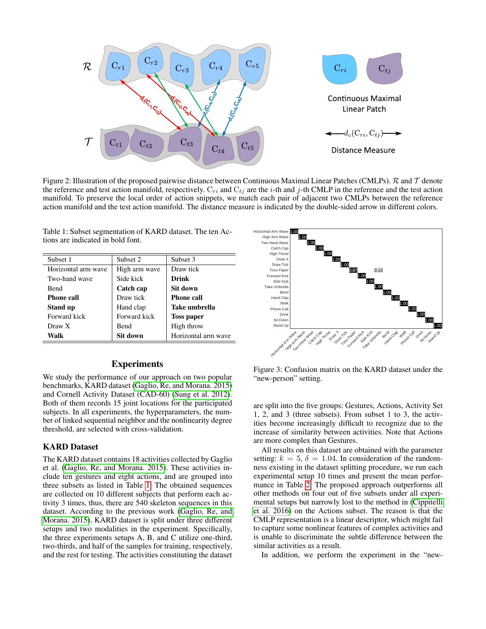<span id="page-4-0"></span>

Figure 2: Illustration of the proposed pairwise distance between Continuous Maximal Linear Patches (CMLPs).  $\mathcal R$  and  $\mathcal T$  denote the reference and test action manifold, respectively.  $C_{ri}$  and  $C_{tj}$  are the *i*-th and *j*-th CMLP in the reference and the test action manifold. To preserve the local order of action snippets, we match each pair of adjacent two CMLPs between the reference action manifold and the test action manifold. The distance measure is indicated by the double-sided arrow in different colors.

<span id="page-4-1"></span>Table 1: Subset segmentation of KARD dataset. The ten Actions are indicated in bold font.

| Subset 1            | Subset 2      | Subset 3            |  |  |
|---------------------|---------------|---------------------|--|--|
| Horizontal arm wave | High arm wave | Draw tick           |  |  |
| Two-hand wave       | Side kick     | Drink               |  |  |
| <b>Bend</b>         | Catch cap     | Sit down            |  |  |
| <b>Phone call</b>   | Draw tick     | <b>Phone call</b>   |  |  |
| <b>Stand up</b>     | Hand clap     | Take umbrella       |  |  |
| Forward kick        | Forward kick  | <b>Toss paper</b>   |  |  |
| Draw X              | Bend          | High throw          |  |  |
| <b>Walk</b>         | Sit down      | Horizontal arm wave |  |  |

## Experiments

We study the performance of our approach on two popular benchmarks, KARD dataset [\(Gaglio, Re, and Morana. 2015\)](#page-7-20) and Cornell Activity Dataset (CAD-60) [\(Sung et al. 2012\)](#page-7-21). Both of them records 15 joint locations for the participated subjects. In all experiments, the hyperparameters, the number of linked sequential neighbor and the nonlinearity degree threshold, are selected with cross-validation.

# KARD Dataset

The KARD dataset contains 18 activities collected by Gaglio et al. [\(Gaglio, Re, and Morana. 2015\)](#page-7-20). These activities include ten gestures and eight actions, and are grouped into three subsets as listed in Table [1.](#page-4-1) The obtained sequences are collected on 10 different subjects that perform each activity 3 times, thus, there are 540 skeleton sequences in this dataset. According to the previous work [\(Gaglio, Re, and](#page-7-20) [Morana. 2015\)](#page-7-20), KARD dataset is split under three different setups and two modalities in the experiment. Specifically, the three experiments setups A, B, and C utilize one-third, two-thirds, and half of the samples for training, respectively, and the rest for testing. The activities constituting the dataset

<span id="page-4-2"></span>

Figure 3: Confusion matrix on the KARD dataset under the "new-person" setting.

are split into the five groups: Gestures, Actions, Activity Set 1, 2, and 3 (three subsets). From subset 1 to 3, the activities become increasingly difficult to recognize due to the increase of similarity between activities. Note that Actions are more complex than Gestures.

All results on this dataset are obtained with the parameter setting:  $k = 5$ ,  $\delta = 1.04$ . In consideration of the randomness existing in the dataset splitting procedure, we run each experimental setup 10 times and present the mean performance in Table [2.](#page-5-0) The proposed approach outperforms all other methods on four out of five subsets under all experimental setups but narrowly lost to the method in [\(Cippitelli](#page-7-24) [et al. 2016\)](#page-7-24) on the Actions subset. The reason is that the CMLP representation is a linear descriptor, which might fail to capture some nonlinear features of complex activities and is unable to discriminate the subtle difference between the similar activities as a result.

In addition, we perform the experiment in the "new-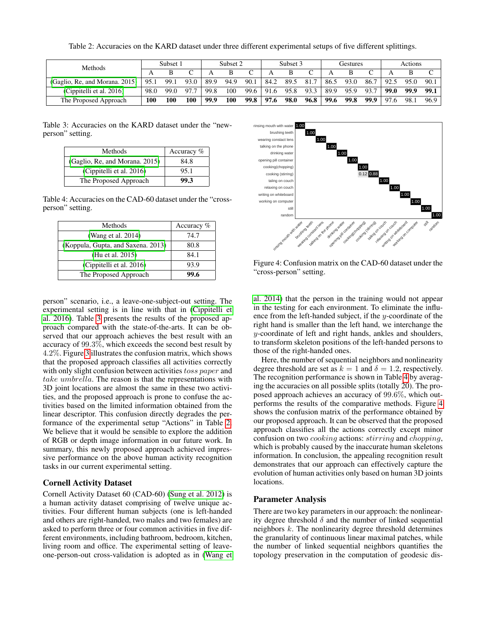Table 2: Accuracies on the KARD dataset under three different experimental setups of five different splittings.

<span id="page-5-0"></span>

| <b>Methods</b>                 | Subset 1 |      | Subset 2 |      | Subset 3 |      |      | Gestures |          |      | Actions |      |      |      |       |
|--------------------------------|----------|------|----------|------|----------|------|------|----------|----------|------|---------|------|------|------|-------|
|                                |          |      |          |      |          |      |      |          | $\Gamma$ |      |         |      |      |      |       |
| (Gaglio, Re, and Morana, 2015) | 95.1     | 99.1 | 93.0     | 89.9 | 94.9     | 90.1 | 84.2 | 89.5     | 81.7     | 86.5 | 93.0    | 86.7 | 92.5 | 95.0 | 90.1  |
| (Cippitelli et al. 2016)       | 98.0     | 99.0 | 97.7     | 99.8 | 100      | 99.6 | 91.6 | 95.8     | 93.3     | 89.9 | 95.9    | 93.7 | 99.0 | 99.9 | 99. . |
| The Proposed Approach          | 100      | 100  | 100      | 99.9 | 100      | 99.8 | 97.6 | 98.0     | 96.8     | 99.6 | 99.8    | 99.9 | 97.6 | 98.1 | 96.9  |

<span id="page-5-1"></span>Table 3: Accuracies on the KARD dataset under the "newperson" setting.

| Methods                        | Accuracy $%$ |
|--------------------------------|--------------|
| (Gaglio, Re, and Morana. 2015) | 84.8         |
| (Cippitelli et al. 2016)       | 95.1         |
| The Proposed Approach          | 99.3         |

<span id="page-5-2"></span>Table 4: Accuracies on the CAD-60 dataset under the "crossperson" setting.

| Methods                            | Accuracy % |
|------------------------------------|------------|
| (Wang et al. 2014)                 | 74.7       |
| (Koppula, Gupta, and Saxena. 2013) | 80.8       |
| (Hu et al. 2015)                   | 84.1       |
| (Cippitelli et al. 2016)           | 93.9       |
| The Proposed Approach              | 99.6       |

person" scenario, i.e., a leave-one-subject-out setting. The experimental setting is in line with that in [\(Cippitelli et](#page-7-24) [al. 2016\)](#page-7-24). Table [3](#page-5-1) presents the results of the proposed approach compared with the state-of-the-arts. It can be observed that our approach achieves the best result with an accuracy of  $99.3\%$ , which exceeds the second best result by 4.2%. Figure [3](#page-4-2) illustrates the confusion matrix, which shows that the proposed approach classifies all activities correctly with only slight confusion between activities toss paper and take umbrella. The reason is that the representations with 3D joint locations are almost the same in these two activities, and the proposed approach is prone to confuse the activities based on the limited information obtained from the linear descriptor. This confusion directly degrades the performance of the experimental setup "Actions" in Table [2.](#page-5-0) We believe that it would be sensible to explore the addition of RGB or depth image information in our future work. In summary, this newly proposed approach achieved impressive performance on the above human activity recognition tasks in our current experimental setting.

# Cornell Activity Dataset

Cornell Activity Dataset 60 (CAD-60) [\(Sung et al. 2012\)](#page-7-21) is a human activity dataset comprising of twelve unique activities. Four different human subjects (one is left-handed and others are right-handed, two males and two females) are asked to perform three or four common activities in five different environments, including bathroom, bedroom, kitchen, living room and office. The experimental setting of leaveone-person-out cross-validation is adopted as in [\(Wang et](#page-7-4)

<span id="page-5-3"></span>

Figure 4: Confusion matrix on the CAD-60 dataset under the "cross-person" setting.

[al. 2014\)](#page-7-4) that the person in the training would not appear in the testing for each environment. To eliminate the influence from the left-handed subject, if the y-coordinate of the right hand is smaller than the left hand, we interchange the y-coordinate of left and right hands, ankles and shoulders, to transform skeleton positions of the left-handed persons to those of the right-handed ones.

Here, the number of sequential neighbors and nonlinearity degree threshold are set as  $k = 1$  and  $\delta = 1.2$ , respectively. The recognition performance is shown in Table [4](#page-5-2) by averaging the accuracies on all possible splits (totally 20). The proposed approach achieves an accuracy of 99.6%, which outperforms the results of the comparative methods. Figure [4](#page-5-3) shows the confusion matrix of the performance obtained by our proposed approach. It can be observed that the proposed approach classifies all the actions correctly except minor confusion on two cooking actions: stirring and chopping, which is probably caused by the inaccurate human skeletons information. In conclusion, the appealing recognition result demonstrates that our approach can effectively capture the evolution of human activities only based on human 3D joints locations.

# Parameter Analysis

There are two key parameters in our approach: the nonlinearity degree threshold  $\delta$  and the number of linked sequential neighbors  $k$ . The nonlinearity degree threshold determines the granularity of continuous linear maximal patches, while the number of linked sequential neighbors quantifies the topology preservation in the computation of geodesic dis-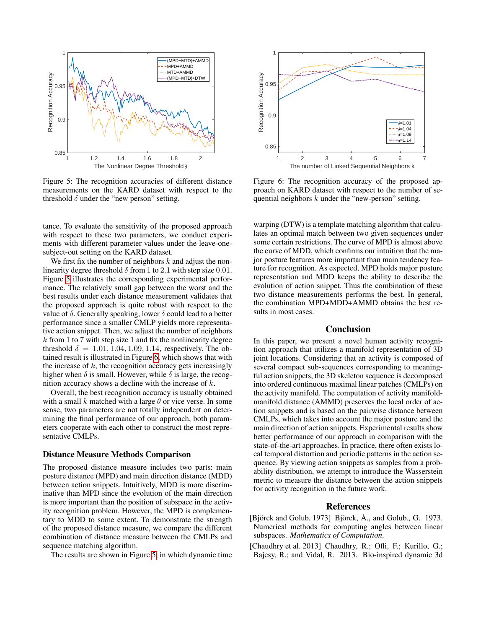<span id="page-6-2"></span>

Figure 5: The recognition accuracies of different distance measurements on the KARD dataset with respect to the threshold  $\delta$  under the "new person" setting.

tance. To evaluate the sensitivity of the proposed approach with respect to these two parameters, we conduct experiments with different parameter values under the leave-onesubject-out setting on the KARD dataset.

We first fix the number of neighbors  $k$  and adjust the nonlinearity degree threshold  $\delta$  from 1 to 2.1 with step size 0.01. Figure [5](#page-6-2) illustrates the corresponding experimental performance. The relatively small gap between the worst and the best results under each distance measurement validates that the proposed approach is quite robust with respect to the value of  $\delta$ . Generally speaking, lower  $\delta$  could lead to a better performance since a smaller CMLP yields more representative action snippet. Then, we adjust the number of neighbors  $k$  from 1 to 7 with step size 1 and fix the nonlinearity degree threshold  $\delta = 1.01, 1.04, 1.09, 1.14$ , respectively. The obtained result is illustrated in Figure [6,](#page-6-3) which shows that with the increase of  $k$ , the recognition accuracy gets increasingly higher when  $\delta$  is small. However, while  $\delta$  is large, the recognition accuracy shows a decline with the increase of k.

Overall, the best recognition accuracy is usually obtained with a small k matched with a large  $\theta$  or vice verse. In some sense, two parameters are not totally independent on determining the final performance of our approach, both parameters cooperate with each other to construct the most representative CMLPs.

#### Distance Measure Methods Comparison

The proposed distance measure includes two parts: main posture distance (MPD) and main direction distance (MDD) between action snippets. Intuitively, MDD is more discriminative than MPD since the evolution of the main direction is more important than the position of subspace in the activity recognition problem. However, the MPD is complementary to MDD to some extent. To demonstrate the strength of the proposed distance measure, we compare the different combination of distance measure between the CMLPs and sequence matching algorithm.

The results are shown in Figure [5,](#page-6-2) in which dynamic time

<span id="page-6-3"></span>

Figure 6: The recognition accuracy of the proposed approach on KARD dataset with respect to the number of sequential neighbors k under the "new-person" setting.

warping (DTW) is a template matching algorithm that calculates an optimal match between two given sequences under some certain restrictions. The curve of MPD is almost above the curve of MDD, which confirms our intuition that the major posture features more important than main tendency feature for recognition. As expected, MPD holds major posture representation and MDD keeps the ability to describe the evolution of action snippet. Thus the combination of these two distance measurements performs the best. In general, the combination MPD+MDD+AMMD obtains the best results in most cases.

### Conclusion

In this paper, we present a novel human activity recognition approach that utilizes a manifold representation of 3D joint locations. Considering that an activity is composed of several compact sub-sequences corresponding to meaningful action snippets, the 3D skeleton sequence is decomposed into ordered continuous maximal linear patches (CMLPs) on the activity manifold. The computation of activity manifoldmanifold distance (AMMD) preserves the local order of action snippets and is based on the pairwise distance between CMLPs, which takes into account the major posture and the main direction of action snippets. Experimental results show better performance of our approach in comparison with the state-of-the-art approaches. In practice, there often exists local temporal distortion and periodic patterns in the action sequence. By viewing action snippets as samples from a probability distribution, we attempt to introduce the Wasserstein metric to measure the distance between the action snippets for activity recognition in the future work.

# References

- <span id="page-6-1"></span>[Björck and Golub. 1973] Björck,  $\dot{A}$ ., and Golub., G. 1973. Numerical methods for computing angles between linear subspaces. *Mathematics of Computation*.
- <span id="page-6-0"></span>[Chaudhry et al. 2013] Chaudhry, R.; Ofli, F.; Kurillo, G.; Bajcsy, R.; and Vidal, R. 2013. Bio-inspired dynamic 3d